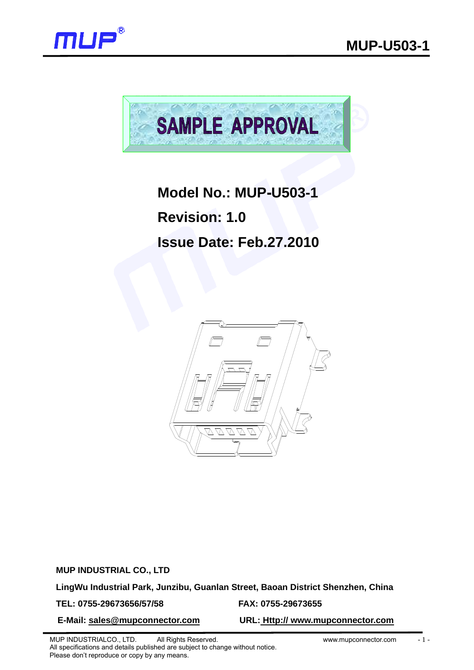



## **Model No.: MUP-U503-1**

**Revision: 1.0** 

# **Issue Date: Feb.27.2010**



**MUP INDUSTRIAL CO., LTD** 

**LingWu Industrial Park, Junzibu, Guanlan Street, Baoan District Shenzhen, China** 

**TEL: 0755-29673656/57/58 FAX: 0755-29673655** 

**E-Mail: sales@mupconnector.com URL: Http:// www.mupconnector.com**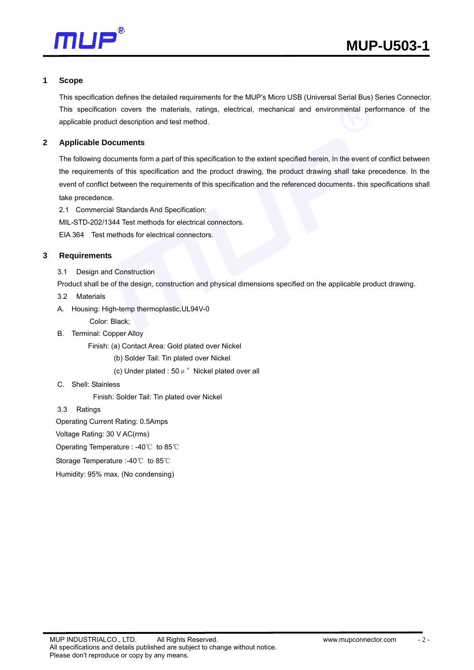

#### **1 Scope**

This specification defines the detailed requirements for the MUP's Micro USB (Universal Serial Bus) Series Connector. This specification covers the materials, ratings, electrical, mechanical and environmental performance of the applicable product description and test method.

## **2 Applicable Documents**

The following documents form a part of this specification to the extent specified herein, In the event of conflict between the requirements of this specification and the product drawing, the product drawing shall take precedence. In the event of conflict between the requirements of this specification and the referenced documents, this specifications shall take precedence.

- 2.1 Commercial Standards And Specification:
- MIL-STD-202/1344 Test methods for electrical connectors.

EIA 364 Test methods for electrical connectors.

#### **3 Requirements**

3.1 Design and Construction

Product shall be of the design, construction and physical dimensions specified on the applicable product drawing.

- 3.2 Materials
- A. Housing: High-temp thermoplastic,UL94V-0

Color: Black;

B. Terminal: Copper Alloy

Finish: (a) Contact Area: Gold plated over Nickel

(b) Solder Tail: Tin plated over Nickel

(c) Under plated : 50  $\mu$  " Nickel plated over all

#### C. Shell: Stainless

Finish: Solder Tail: Tin plated over Nickel

3.3 Ratings

Operating Current Rating: 0.5Amps

Voltage Rating: 30 V AC(rms)

Operating Temperature : -40℃ to 85℃

Storage Temperature :-40℃ to 85℃

Humidity: 95% max. (No condensing)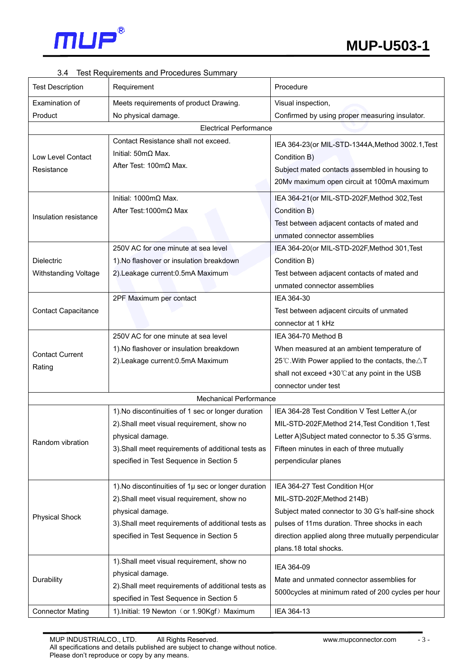

## 3.4 Test Requirements and Procedures Summary

| <b>Test Description</b>       | Requirement                                         | Procedure                                                   |  |  |  |
|-------------------------------|-----------------------------------------------------|-------------------------------------------------------------|--|--|--|
| Examination of                | Meets requirements of product Drawing.              | Visual inspection,                                          |  |  |  |
| Product                       | No physical damage.                                 | Confirmed by using proper measuring insulator.              |  |  |  |
| <b>Electrical Performance</b> |                                                     |                                                             |  |  |  |
|                               | Contact Resistance shall not exceed.                | IEA 364-23(or MIL-STD-1344A, Method 3002.1, Test            |  |  |  |
| <b>Low Level Contact</b>      | Initial: $50 \text{m}\Omega$ Max.                   | Condition B)                                                |  |  |  |
| Resistance                    | After Test: 100mΩ Max.                              | Subject mated contacts assembled in housing to              |  |  |  |
|                               |                                                     | 20Mv maximum open circuit at 100mA maximum                  |  |  |  |
|                               |                                                     |                                                             |  |  |  |
| Insulation resistance         | Initial: $1000 \text{mA}$ Max.                      | IEA 364-21 (or MIL-STD-202F, Method 302, Test               |  |  |  |
|                               | After Test: 1000mΩ Max                              | Condition B)                                                |  |  |  |
|                               |                                                     | Test between adjacent contacts of mated and                 |  |  |  |
|                               |                                                     | unmated connector assemblies                                |  |  |  |
|                               | 250V AC for one minute at sea level                 | IEA 364-20(or MIL-STD-202F, Method 301, Test                |  |  |  |
| <b>Dielectric</b>             | 1). No flashover or insulation breakdown            | Condition B)                                                |  |  |  |
| <b>Withstanding Voltage</b>   | 2).Leakage current: 0.5mA Maximum                   | Test between adjacent contacts of mated and                 |  |  |  |
|                               |                                                     | unmated connector assemblies                                |  |  |  |
|                               | 2PF Maximum per contact                             | IEA 364-30                                                  |  |  |  |
| <b>Contact Capacitance</b>    |                                                     | Test between adjacent circuits of unmated                   |  |  |  |
|                               |                                                     | connector at 1 kHz                                          |  |  |  |
|                               | 250V AC for one minute at sea level                 | IEA 364-70 Method B                                         |  |  |  |
| <b>Contact Current</b>        | 1). No flashover or insulation breakdown            | When measured at an ambient temperature of                  |  |  |  |
| Rating                        | 2). Leakage current: 0.5mA Maximum                  | 25°C. With Power applied to the contacts, the $\triangle T$ |  |  |  |
|                               |                                                     | shall not exceed +30°C at any point in the USB              |  |  |  |
|                               |                                                     | connector under test                                        |  |  |  |
|                               | <b>Mechanical Performance</b>                       |                                                             |  |  |  |
|                               | 1). No discontinuities of 1 sec or longer duration  | IEA 364-28 Test Condition V Test Letter A, (or              |  |  |  |
|                               | 2). Shall meet visual requirement, show no          | MIL-STD-202F, Method 214, Test Condition 1, Test            |  |  |  |
| Random vibration              | physical damage.                                    | Letter A)Subject mated connector to 5.35 G'srms.            |  |  |  |
|                               | 3). Shall meet requirements of additional tests as  | Fifteen minutes in each of three mutually                   |  |  |  |
|                               | specified in Test Sequence in Section 5             | perpendicular planes                                        |  |  |  |
|                               |                                                     |                                                             |  |  |  |
|                               | 1). No discontinuities of 1µ sec or longer duration | IEA 364-27 Test Condition H(or                              |  |  |  |
| <b>Physical Shock</b>         | 2). Shall meet visual requirement, show no          | MIL-STD-202F, Method 214B)                                  |  |  |  |
|                               | physical damage.                                    | Subject mated connector to 30 G's half-sine shock           |  |  |  |
|                               | 3). Shall meet requirements of additional tests as  | pulses of 11ms duration. Three shocks in each               |  |  |  |
|                               | specified in Test Sequence in Section 5             | direction applied along three mutually perpendicular        |  |  |  |
|                               |                                                     | plans.18 total shocks.                                      |  |  |  |
| Durability                    | 1). Shall meet visual requirement, show no          | IEA 364-09                                                  |  |  |  |
|                               | physical damage.                                    | Mate and unmated connector assemblies for                   |  |  |  |
|                               | 2). Shall meet requirements of additional tests as  | 5000cycles at minimum rated of 200 cycles per hour          |  |  |  |
|                               | specified in Test Sequence in Section 5             |                                                             |  |  |  |
| <b>Connector Mating</b>       | 1). Initial: 19 Newton (or 1.90Kgf) Maximum         | IEA 364-13                                                  |  |  |  |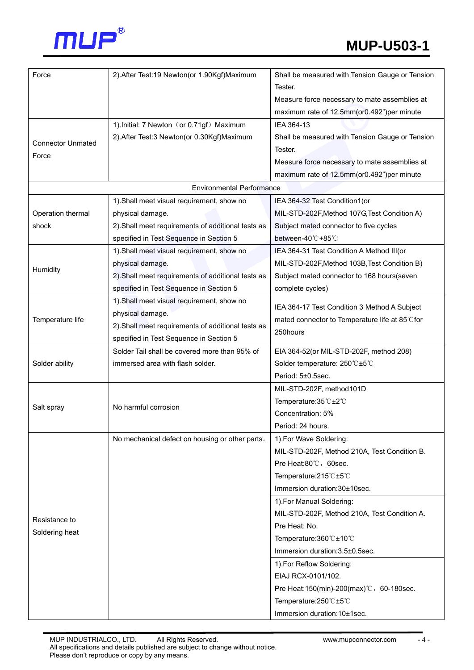

| Force                            | 2). After Test: 19 Newton (or 1.90Kgf) Maximum     | Shall be measured with Tension Gauge or Tension |  |  |  |  |  |
|----------------------------------|----------------------------------------------------|-------------------------------------------------|--|--|--|--|--|
|                                  |                                                    | Tester.                                         |  |  |  |  |  |
|                                  |                                                    | Measure force necessary to mate assemblies at   |  |  |  |  |  |
|                                  |                                                    | maximum rate of 12.5mm(or0.492")per minute      |  |  |  |  |  |
|                                  | 1). Initial: 7 Newton (or 0.71gf) Maximum          | IEA 364-13                                      |  |  |  |  |  |
|                                  | 2). After Test: 3 Newton (or 0.30Kgf) Maximum      | Shall be measured with Tension Gauge or Tension |  |  |  |  |  |
| <b>Connector Unmated</b>         |                                                    | Tester.                                         |  |  |  |  |  |
| Force                            |                                                    | Measure force necessary to mate assemblies at   |  |  |  |  |  |
|                                  |                                                    | maximum rate of 12.5mm(or0.492")per minute      |  |  |  |  |  |
| <b>Environmental Performance</b> |                                                    |                                                 |  |  |  |  |  |
|                                  | 1). Shall meet visual requirement, show no         | IEA 364-32 Test Condition1(or                   |  |  |  |  |  |
| Operation thermal                | physical damage.                                   | MIL-STD-202F, Method 107G, Test Condition A)    |  |  |  |  |  |
| shock                            | 2). Shall meet requirements of additional tests as | Subject mated connector to five cycles          |  |  |  |  |  |
|                                  | specified in Test Sequence in Section 5            | between-40℃+85℃                                 |  |  |  |  |  |
|                                  | 1). Shall meet visual requirement, show no         | IEA 364-31 Test Condition A Method III(or       |  |  |  |  |  |
| Humidity                         | physical damage.                                   | MIL-STD-202F, Method 103B, Test Condition B)    |  |  |  |  |  |
|                                  | 2). Shall meet requirements of additional tests as | Subject mated connector to 168 hours(seven      |  |  |  |  |  |
|                                  | specified in Test Sequence in Section 5            | complete cycles)                                |  |  |  |  |  |
|                                  | 1). Shall meet visual requirement, show no         | IEA 364-17 Test Condition 3 Method A Subject    |  |  |  |  |  |
| Temperature life                 | physical damage.                                   | mated connector to Temperature life at 85°C for |  |  |  |  |  |
|                                  | 2). Shall meet requirements of additional tests as | 250hours                                        |  |  |  |  |  |
|                                  | specified in Test Sequence in Section 5            |                                                 |  |  |  |  |  |
|                                  | Solder Tail shall be covered more than 95% of      | EIA 364-52(or MIL-STD-202F, method 208)         |  |  |  |  |  |
| Solder ability                   | immersed area with flash solder.                   | Solder temperature: 250°C±5°C                   |  |  |  |  |  |
|                                  |                                                    | Period: 5±0.5sec.                               |  |  |  |  |  |
|                                  |                                                    | MIL-STD-202F, method101D                        |  |  |  |  |  |
| Salt spray                       | No harmful corrosion                               | Temperature: 35℃±2℃                             |  |  |  |  |  |
|                                  |                                                    | Concentration: 5%                               |  |  |  |  |  |
|                                  |                                                    | Period: 24 hours.                               |  |  |  |  |  |
|                                  | No mechanical defect on housing or other parts.    | 1). For Wave Soldering:                         |  |  |  |  |  |
|                                  |                                                    | MIL-STD-202F, Method 210A, Test Condition B.    |  |  |  |  |  |
|                                  |                                                    | Pre Heat:80°C, 60sec.                           |  |  |  |  |  |
|                                  |                                                    | Temperature: 215°C ±5°C                         |  |  |  |  |  |
|                                  |                                                    | Immersion duration:30±10sec.                    |  |  |  |  |  |
|                                  |                                                    | 1). For Manual Soldering:                       |  |  |  |  |  |
| Resistance to                    |                                                    | MIL-STD-202F, Method 210A, Test Condition A.    |  |  |  |  |  |
| Soldering heat                   |                                                    | Pre Heat: No.                                   |  |  |  |  |  |
|                                  |                                                    | Temperature: 360 ℃±10 ℃                         |  |  |  |  |  |
|                                  |                                                    | Immersion duration: 3.5±0.5sec.                 |  |  |  |  |  |
|                                  |                                                    | 1). For Reflow Soldering:                       |  |  |  |  |  |
|                                  |                                                    | EIAJ RCX-0101/102.                              |  |  |  |  |  |
|                                  |                                                    | Pre Heat:150(min)-200(max)℃, 60-180sec.         |  |  |  |  |  |
|                                  |                                                    | Temperature:250°C±5°C                           |  |  |  |  |  |
|                                  |                                                    | Immersion duration: 10±1sec.                    |  |  |  |  |  |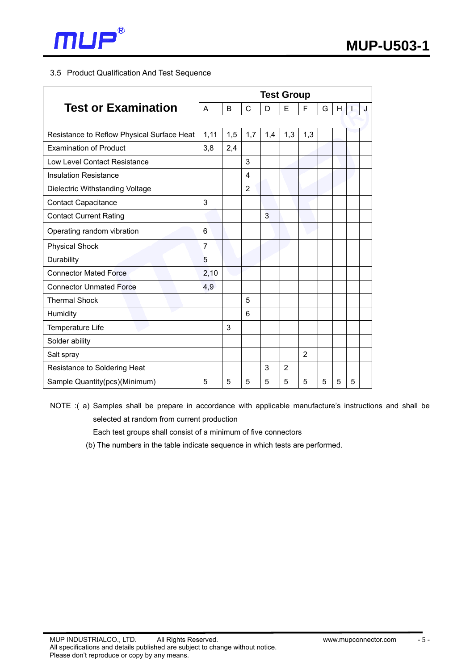

## 3.5 Product Qualification And Test Sequence

| <b>Test or Examination</b>                 |                | <b>Test Group</b> |                |                |                |                |   |   |   |   |  |
|--------------------------------------------|----------------|-------------------|----------------|----------------|----------------|----------------|---|---|---|---|--|
|                                            |                | B                 | C              | D              | E              | F              | G | H |   | J |  |
|                                            |                |                   |                |                |                |                |   |   |   |   |  |
| Resistance to Reflow Physical Surface Heat |                | 1,5               | 1,7            | 1,4            | 1,3            | 1,3            |   |   |   |   |  |
| <b>Examination of Product</b>              | 3,8            | 2,4               |                |                |                |                |   |   |   |   |  |
| Low Level Contact Resistance               |                |                   | 3              |                |                |                |   |   |   |   |  |
| <b>Insulation Resistance</b>               |                |                   | 4              |                |                |                |   |   |   |   |  |
| Dielectric Withstanding Voltage            |                |                   | $\overline{2}$ |                |                |                |   |   |   |   |  |
| <b>Contact Capacitance</b>                 | 3              |                   |                |                |                |                |   |   |   |   |  |
| <b>Contact Current Rating</b>              |                |                   |                | $\overline{3}$ |                |                |   |   |   |   |  |
| Operating random vibration                 | 6              |                   |                |                |                |                |   |   |   |   |  |
| <b>Physical Shock</b>                      | $\overline{7}$ |                   |                |                |                |                |   |   |   |   |  |
| Durability                                 | 5              |                   |                |                |                |                |   |   |   |   |  |
| <b>Connector Mated Force</b>               | 2,10           |                   |                |                |                |                |   |   |   |   |  |
| <b>Connector Unmated Force</b>             | 4,9            |                   |                |                |                |                |   |   |   |   |  |
| <b>Thermal Shock</b>                       |                |                   | 5              |                |                |                |   |   |   |   |  |
| Humidity                                   |                |                   | 6              |                |                |                |   |   |   |   |  |
| Temperature Life                           |                | 3                 |                |                |                |                |   |   |   |   |  |
| Solder ability                             |                |                   |                |                |                |                |   |   |   |   |  |
| Salt spray                                 |                |                   |                |                |                | $\overline{2}$ |   |   |   |   |  |
| Resistance to Soldering Heat               |                |                   |                | 3              | $\overline{2}$ |                |   |   |   |   |  |
| Sample Quantity(pcs)(Minimum)              | 5              | 5                 | 5              | 5              | 5              | 5              | 5 | 5 | 5 |   |  |

- NOTE :( a) Samples shall be prepare in accordance with applicable manufacture's instructions and shall be selected at random from current production
	- Each test groups shall consist of a minimum of five connectors
	- (b) The numbers in the table indicate sequence in which tests are performed.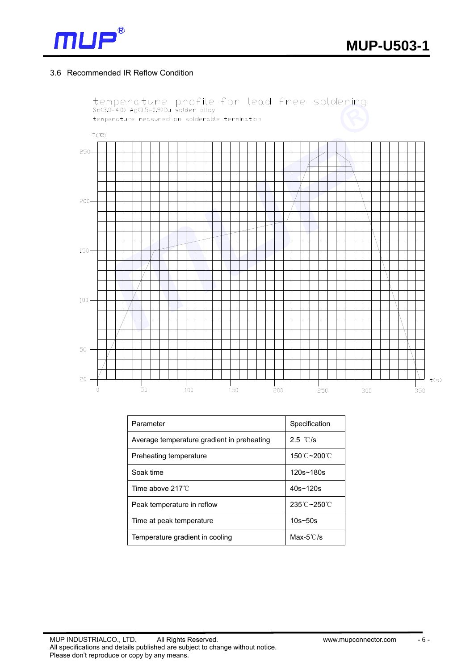

## 3.6 Recommended IR Reflow Condition



| Parameter                                  | Specification |  |  |  |
|--------------------------------------------|---------------|--|--|--|
| Average temperature gradient in preheating | 2.5 °C/s      |  |  |  |
| Preheating temperature                     | 150℃~200℃     |  |  |  |
| Soak time                                  | $120s - 180s$ |  |  |  |
| Time above $217^{\circ}$ C                 | $40s - 120s$  |  |  |  |
| Peak temperature in reflow                 | 235℃~250℃     |  |  |  |
| Time at peak temperature                   | $10s - 50s$   |  |  |  |
| Temperature gradient in cooling            | Max-5 $°C/s$  |  |  |  |